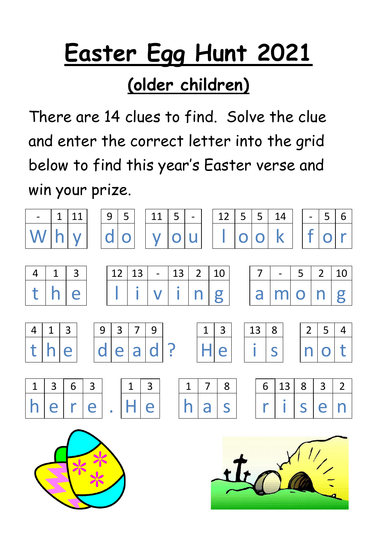### **(older children)**

There are 14 clues to find. Solve the clue and enter the correct letter into the grid below to find this year's Easter verse and win your prize.

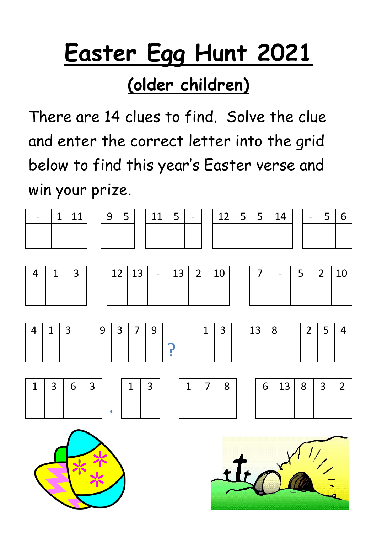### **(older children)**

There are 14 clues to find. Solve the clue and enter the correct letter into the grid below to find this year's Easter verse and win your prize.

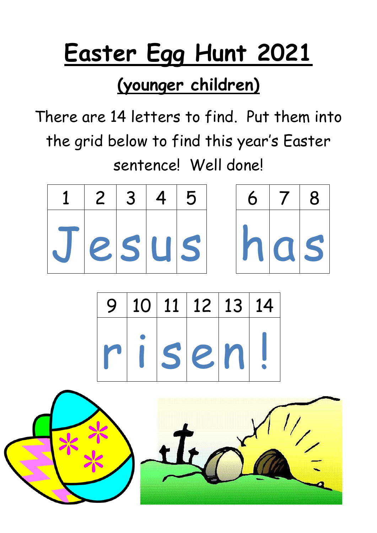### **(younger children)**

There are 14 letters to find. Put them into the grid below to find this year's Easter sentence! Well done!

|           | 1   2   3   4   5 |  |  | $6   7   8$ |  |
|-----------|-------------------|--|--|-------------|--|
| Jesus has |                   |  |  |             |  |

|  | 9 10 11 12 13 14 |  |
|--|------------------|--|
|  | risen!           |  |